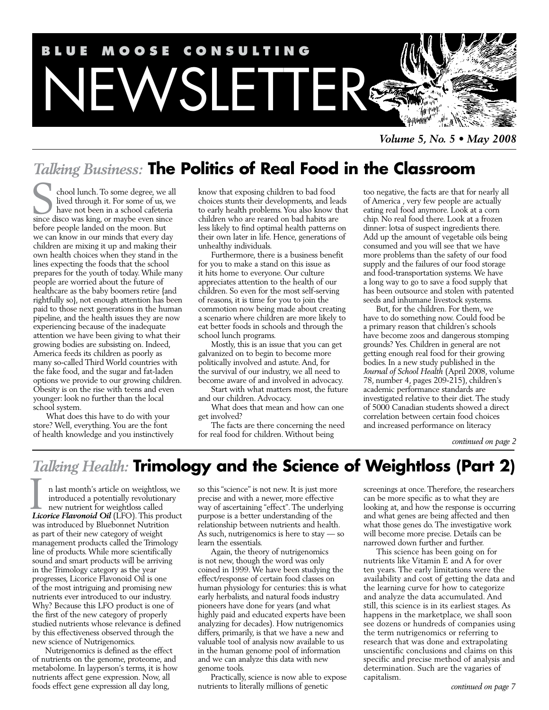

*Volume 5, No. 5 • May 2008*

## *Talking Business:* **The Politics of Real Food in the Classroom**

chool lunch. To some degree, we all lived through it. For some of us, we have not been in a school cafeteria shool lunch. To some degree, we all<br>lived through it. For some of us, we<br>have not been in a school cafeteria<br>since disco was king, or maybe even since before people landed on the moon. But we can know in our minds that every day children are mixing it up and making their own health choices when they stand in the lines expecting the foods that the school prepares for the youth of today. While many people are worried about the future of healthcare as the baby boomers retire {and rightfully so}, not enough attention has been paid to those next generations in the human pipeline, and the health issues they are now experiencing because of the inadequate attention we have been giving to what their growing bodies are subsisting on. Indeed, America feeds its children as poorly as many so-called Third World countries with the fake food, and the sugar and fat-laden options we provide to our growing children. Obesity is on the rise with teens and even younger: look no further than the local school system.

What does this have to do with your store? Well, everything. You are the font of health knowledge and you instinctively know that exposing children to bad food choices stunts their developments, and leads to early health problems. You also know that children who are reared on bad habits are less likely to find optimal health patterns on their own later in life. Hence, generations of unhealthy individuals.

Furthermore, there is a business benefit for you to make a stand on this issue as it hits home to everyone. Our culture appreciates attention to the health of our children. So even for the most self-serving of reasons, it is time for you to join the commotion now being made about creating a scenario where children are more likely to eat better foods in schools and through the school lunch programs.

Mostly, this is an issue that you can get galvanized on to begin to become more politically involved and astute. And, for the survival of our industry, we all need to become aware of and involved in advocacy.

Start with what matters most, the future and our children. Advocacy.

What does that mean and how can one get involved?

The facts are there concerning the need for real food for children. Without being

too negative, the facts are that for nearly all of America , very few people are actually eating real food anymore. Look at a corn chip. No real food there. Look at a frozen dinner: lotsa of suspect ingredients there. Add up the amount of vegetable oils being consumed and you will see that we have more problems than the safety of our food supply and the failures of our food storage and food-transportation systems. We have a long way to go to save a food supply that has been outsource and stolen with patented seeds and inhumane livestock systems.

But, for the children. For them, we have to do something now. Could food be a primary reason that children's schools have become zoos and dangerous stomping grounds? Yes. Children in general are not getting enough real food for their growing bodies. In a new study published in the *Journal of School Health* (April 2008, volume 78, number 4, pages 209-215), children's academic performance standards are investigated relative to their diet. The study of 5000 Canadian students showed a direct correlation between certain food choices and increased performance on literacy

*continued on page 2*

### *Talking Health:* **Trimology and the Science of Weightloss (Part 2)**

n last month's article on weightloss, we introduced a potentially revolutionary new nutrient for weightloss called **Licorice Flavonoid Oil** (LFO). This product that the verified  $\mu$  and  $\mu$  and  $\mu$  and  $\mu$  and  $\mu$  and  $\mu$  and  $\mu$  and  $\mu$  (LFO). This product was introduced by Bluebonnet Nutrition as part of their new category of weight management products called the Trimology line of products. While more scientifically sound and smart products will be arriving in the Trimology category as the year progresses, Licorice Flavonoid Oil is one of the most intriguing and promising new nutrients ever introduced to our industry. Why? Because this LFO product is one of the first of the new category of properly studied nutrients whose relevance is defined by this effectiveness observed through the new science of Nutrigenomics.

Nutrigenomics is defined as the effect of nutrients on the genome, proteome, and metabolome. In layperson's terms, it is how nutrients affect gene expression. Now, all foods effect gene expression all day long,

so this "science" is not new. It is just more precise and with a newer, more effective way of ascertaining "effect". The underlying purpose is a better understanding of the relationship between nutrients and health. As such, nutrigenomics is here to stay — so learn the essentials.

Again, the theory of nutrigenomics is not new, though the word was only coined in 1999. We have been studying the effect/response of certain food classes on human physiology for centuries: this is what early herbalists, and natural foods industry pioneers have done for years (and what highly paid and educated experts have been analyzing for decades). How nutrigenomics differs, primarily, is that we have a new and valuable tool of analysis now available to us in the human genome pool of information and we can analyze this data with new genome tools.

Practically, science is now able to expose nutrients to literally millions of genetic

screenings at once. Therefore, the researchers can be more specific as to what they are looking at, and how the response is occurring and what genes are being affected and then what those genes do. The investigative work will become more precise. Details can be narrowed down further and further.

This science has been going on for nutrients like Vitamin E and A for over ten years. The early limitations were the availability and cost of getting the data and the learning curve for how to categorize and analyze the data accumulated. And still, this science is in its earliest stages. As happens in the marketplace, we shall soon see dozens or hundreds of companies using the term nutrigenomics or referring to research that was done and extrapolating unscientific conclusions and claims on this specific and precise method of analysis and determination. Such are the vagaries of capitalism.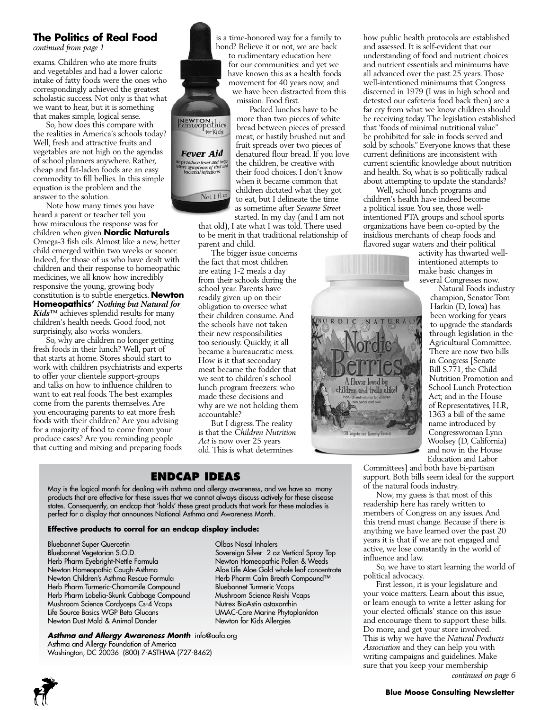### **The Politics of Real Food**

*continued from page 1*

exams. Children who ate more fruits and vegetables and had a lower caloric intake of fatty foods were the ones who correspondingly achieved the greatest scholastic success. Not only is that what we want to hear, but it is something that makes simple, logical sense.

So, how does this compare with the realities in America's schools today? Well, fresh and attractive fruits and vegetables are not high on the agendas of school planners anywhere. Rather, cheap and fat-laden foods are an easy commodity to fill bellies. In this simple equation is the problem and the answer to the solution.

Note how many times you have heard a parent or teacher tell you how miraculous the response was for children when given **Nordic Naturals**  Omega-3 fish oils. Almost like a new, better child emerged within two weeks or sooner. Indeed, for those of us who have dealt with children and their response to homeopathic medicines, we all know how incredibly responsive the young, growing body constitution is to subtle energetics. **Newton Homeopathics'** *Nothing but Natural for Kids™* achieves splendid results for many children's health needs. Good food, not surprisingly, also works wonders.

So, why are children no longer getting fresh foods in their lunch? Well, part of that starts at home. Stores should start to work with children psychiatrists and experts to offer your clientele support-groups and talks on how to influence children to want to eat real foods. The best examples come from the parents themselves. Are you encouraging parents to eat more fresh foods with their children? Are you advising for a majority of food to come from your produce cases? Are you reminding people that cutting and mixing and preparing foods



is a time-honored way for a family to bond? Believe it or not, we are back to rudimentary education here for our communities: and yet we have known this as a health foods movement for 40 years now, and we have been distracted from this mission. Food first.

Packed lunches have to be more than two pieces of white bread between pieces of pressed meat, or hastily brushed nut and fruit spreads over two pieces of denatured flour bread. If you love the children, be creative with their food choices. I don't know when it became common that children dictated what they got to eat, but I delineate the time as sometime after *Sesame Street*

started. In my day (and I am not that old), I ate what I was told. There used to be merit in that traditional relationship of parent and child.

The bigger issue concerns the fact that most children are eating 1-2 meals a day from their schools during the school year. Parents have readily given up on their obligation to oversee what their children consume. And the schools have not taken their new responsibilities too seriously. Quickly, it all became a bureaucratic mess. How is it that secondary meat became the fodder that we sent to children's school lunch program freezers: who made these decisions and why are we not holding them accountable?

But I digress. The reality is that the *Children Nutrition Act* is now over 25 years old. This is what determines

### **Endcap Ideas**

May is the logical month for dealing with asthma and allergy awareness, and we have so many products that are effective for these issues that we cannot always discuss actively for these disease states. Consequently, an endcap that 'holds' these great products that work for these maladies is perfect for a display that announces National Asthma and Awareness Month.

#### **Effective products to corral for an endcap display include:**

Bluebonnet Super Quercetin Olbas Nasal Inhalers Bluebonnet Vegetarian S.O.D. Sovereign Silver 2 oz Vertical Spray Top<br>Herb Pharm Eyebright-Nettle Formula Newton Homeopathic Pollen & Weeds Newton Homeopathic Cough-Asthma Aloe Life Aloe Gold whole leaf concentrate<br>Newton Children's Asthma Rescue Formula Herb Pharm Calm Breath Compound™ Newton Children's Asthma Rescue Formula Herb Pharm Calm Breath C<br>Herb Pharm Turmeric-Chamomile Compound Bluebonnet Turmeric Vcaps Herb Pharm Turmeric-Chamomile Compound Bluebonnet Turmeric Vcaps Herb Pharm Lobelia-Skunk Cabbage Compound Mushroom Science Cordyceps Cs-4 Vcaps Nutrex BioAstin astaxanthin Life Source Basics WGP Beta Glucans UMAC-Core Marine Phytoplankton<br>Newton Dust Mold & Animal Dander Newton for Kids Allergies Newton Dust Mold & Animal Dander

*Asthma and Allergy Awareness Month* info@aafa.org Asthma and Allergy Foundation of America Washington, DC 20036 (800) 7-ASTHMA (727-8462)

Newton Homeopathic Pollen & Weeds

how public health protocols are established and assessed. It is self-evident that our understanding of food and nutrient choices and nutrient essentials and minimums have all advanced over the past 25 years. Those well-intentioned minimums that Congress discerned in 1979 (I was in high school and detested our cafeteria food back then) are a far cry from what we know children should be receiving today. The legislation established that 'foods of minimal nutritional value" be prohibited for sale in foods served and sold by schools." Everyone knows that these current definitions are inconsistent with current scientific knowledge about nutrition and health. So, what is so politically radical about attempting to update the standards?

Well, school lunch programs and children's health have indeed become a political issue. You see, those wellintentioned PTA groups and school sports organizations have been co-opted by the insidious merchants of cheap foods and flavored sugar waters and their political

activity has thwarted wellintentioned attempts to make basic changes in several Congresses now.

Natural Foods industry champion, Senator Tom Harkin (D, Iowa) has been working for years to upgrade the standards through legislation in the Agricultural Committee. There are now two bills in Congress [Senate Bill S.771, the Child Nutrition Promotion and School Lunch Protection Act; and in the House of Representatives, H.R, 1363 a bill of the same name introduced by Congresswoman Lynn Woolsey (D, California) and now in the House Education and Labor

Committees] and both have bi-partisan support. Both bills seem ideal for the support of the natural foods industry.

A flavor loved by children and trolls alike!

120 Vegetorian Gummy Ber

Now, my guess is that most of this readership here has rarely written to members of Congress on any issues. And this trend must change. Because if there is anything we have learned over the past 20 years it is that if we are not engaged and active, we lose constantly in the world of influence and law.

So, we have to start learning the world of political advocacy.

First lesson, it is your legislature and your voice matters. Learn about this issue, or learn enough to write a letter asking for your elected officials' stance on this issue and encourage them to support these bills. Do more, and get your store involved. This is why we have the *Natural Products Association* and they can help you with writing campaigns and guidelines. Make sure that you keep your membership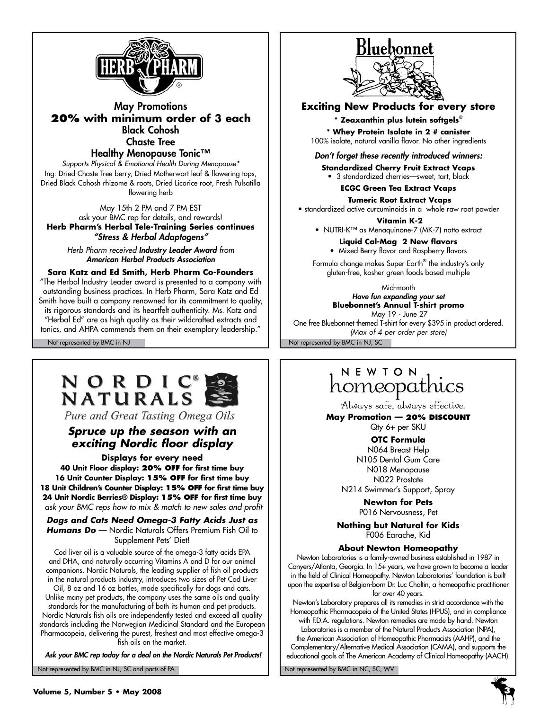

May Promotions **20% with minimum order of 3 each** Black Cohosh Chaste Tree

Healthy Menopause Tonic™

*Supports Physical & Emotional Health During Menopause\**  Ing: Dried Chaste Tree berry, Dried Motherwort leaf & flowering tops, Dried Black Cohosh rhizome & roots, Dried Licorice root, Fresh Pulsatilla flowering herb

May 15th 2 PM and 7 PM EST ask your BMC rep for details, and rewards! **Herb Pharm's Herbal Tele-Training Series continues** *"Stress & Herbal Adaptogens"*

*Herb Pharm received Industry Leader Award from American Herbal Products Association*

### **Sara Katz and Ed Smith, Herb Pharm Co-Founders**

"The Herbal Industry Leader award is presented to a company with outstanding business practices. In Herb Pharm, Sara Katz and Ed Smith have built a company renowned for its commitment to quality, its rigorous standards and its heartfelt authenticity. Ms. Katz and "Herbal Ed" are as high quality as their wildcrafted extracts and tonics, and AHPA commends them on their exemplary leadership."



Pure and Great Tasting Omega Oils

### *Spruce up the season with an exciting Nordic floor display*

**Displays for every need 40 Unit Floor display: 20% off for first time buy 16 Unit Counter Display: 15% off for first time buy 18 Unit Children's Counter Display: 15% off for first time buy 24 Unit Nordic Berries® Display: 15% off for first time buy**  *ask your BMC reps how to mix & match to new sales and profit*

*Dogs and Cats Need Omega-3 Fatty Acids Just as Humans Do* — Nordic Naturals Offers Premium Fish Oil to Supplement Pets' Diet!

Cod liver oil is a valuable source of the omega-3 fatty acids EPA and DHA, and naturally occurring Vitamins A and D for our animal companions. Nordic Naturals, the leading supplier of fish oil products in the natural products industry, introduces two sizes of Pet Cod Liver

Oil, 8 oz and 16 oz bottles, made specifically for dogs and cats. Unlike many pet products, the company uses the same oils and quality standards for the manufacturing of both its human and pet products. Nordic Naturals fish oils are independently tested and exceed all quality standards including the Norwegian Medicinal Standard and the European Pharmacopeia, delivering the purest, freshest and most effective omega-3 fish oils on the market.

 *Ask your BMC rep today for a deal on the Nordic Naturals Pet Products!*

Not represented by BMC in NJ, SC and parts of PA Note that the Not represented by BMC in NC, SC, WV



**Exciting New Products for every store**

#### **\* Zeaxanthin plus lutein softgels**®

**\* Whey Protein Isolate in 2 # canister** 100% isolate, natural vanilla flavor. No other ingredients

*Don't forget these recently introduced winners:*

**Standardized Cherry Fruit Extract Vcaps** • 3 standardized cherries—sweet, tart, black

**ECGC Green Tea Extract Vcaps**

 **Tumeric Root Extract Vcaps**

• standardized active curcuminoids in a whole raw root powder

 **Vitamin K-2**

• NUTRI-K™ as Menaquinone-7 (MK-7) natto extract

**Liquid Cal-Mag 2 New flavors** • Mixed Berry flavor and Raspberry flavors

Formula change makes Super Earth® the industry's only gluten-free, kosher green foods based multiple

> Mid-month *Have fun expanding your set*  **Bluebonnet's Annual T-shirt promo**

Not represented by BMC in NJ Not represented by BMC in NJ, SC May 19 - June 27 One free Bluebonnet themed T-shirt for every \$395 in product ordered. *(Max of 4 per order per store)*

# NEWION<br>homeopathics

Always safe, always effective.

**May Promotion — 20% discount**  Qty 6+ per SKU

### **OTC Formula**

N064 Breast Help N105 Dental Gum Care N018 Menopause N022 Prostate N214 Swimmer's Support, Spray

> **Newton for Pets** P016 Nervousness, Pet

**Nothing but Natural for Kids** F006 Earache, Kid

#### **About Newton Homeopathy**

Newton Laboratories is a family-owned business established in 1987 in Conyers/Atlanta, Georgia. In 15+ years, we have grown to become a leader in the field of Clinical Homeopathy. Newton Laboratories' foundation is built upon the expertise of Belgian-born Dr. Luc Chaltin, a homeopathic practitioner for over 40 years.

Newton's Laboratory prepares all its remedies in strict accordance with the Homeopathic Pharmacopeia of the United States (HPUS), and in compliance with F.D.A. regulations. Newton remedies are made by hand. Newton Laboratories is a member of the Natural Products Association (NPA),

the American Association of Homeopathic Pharmacists (AAHP), and the Complementary/Alternative Medical Association (CAMA), and supports the educational goals of The American Academy of Clinical Homeopathy (AACH).

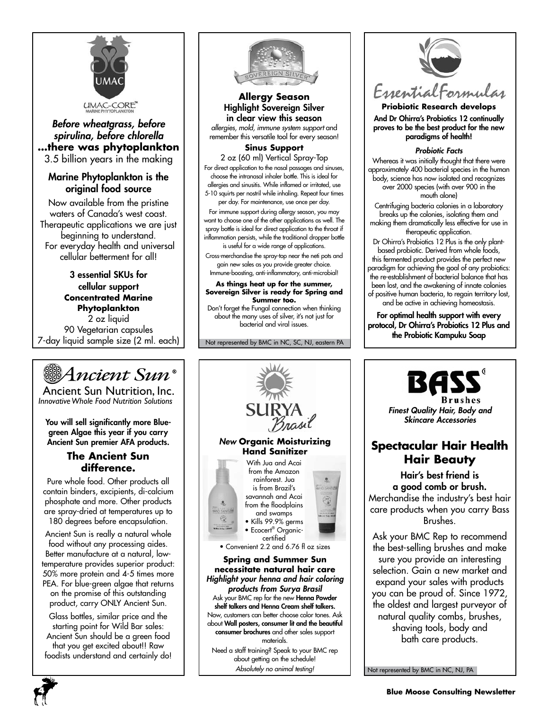

### *Before wheatgrass, before spirulina, before chlorella* **…there was phytoplankton** 3.5 billion years in the making

### Marine Phytoplankton is the original food source

Now available from the pristine waters of Canada's west coast. Therapeutic applications we are just beginning to understand. For everyday health and universal cellular betterment for all!

3 essential SKUs for cellular support **Concentrated Marine Phytoplankton** 2 oz liquid 90 Vegetarian capsules 7-day liquid sample size (2 ml. each)



Ancient Sun Nutrition, Inc. *InnovativeWhole Food Nutrition Solutions*

You will sell significantly more Bluegreen Algae this year if you carry Ancient Sun premier AFA products.

### **The Ancient Sun difference.**

Pure whole food. Other products all contain binders, excipients, di-calcium phosphate and more. Other products are spray-dried at temperatures up to 180 degrees before encapsulation.

Ancient Sun is really a natural whole food without any processing aides. Better manufacture at a natural, lowtemperature provides superior product: 50% more protein and 4-5 times more PEA. For blue-green algae that returns on the promise of this outstanding product, carry ONLY Ancient Sun.

Glass bottles, similar price and the starting point for Wild Bar sales: Ancient Sun should be a green food that you get excited about!! Raw foodists understand and certainly do!



**Allergy Season** Highlight Sovereign Silver in clear view this season

*allergies, mold, immune system support* and remember this versatile tool for every season!

### **Sinus Support**

2 oz (60 ml) Vertical Spray-Top For direct application to the nasal passages and sinuses, choose the intranasal inhaler bottle. This is ideal for allergies and sinusitis. While inflamed or irritated, use 5-10 squirts per nostril while inhaling. Repeat four times per day. For maintenance, use once per day.

For immune support during allergy season, you may want to choose one of the other applications as well. The spray bottle is ideal for direct application to the throat if inflammation persists, while the traditional dropper bottle is useful for a wide range of applications.

Cross-merchandise the spray-top near the neti pots and gain new sales as you provide greater choice. Immune-boosting, anti-inflammatory, anti-microbial!

#### **As things heat up for the summer, Sovereign Silver is ready for Spring and Summer too.**

Don't forget the Fungal connection when thinking about the many uses of silver, it's not just for bacterial and viral issues.

Not represented by BMC in NC, SC, NJ, eastern PA





**Priobiotic Research develops** And Dr Ohirra's Probiotics 12 continually proves to be the best product for the new paradigms of health!

#### *Probiotic Facts*

Whereas it was initially thought that there were approximately 400 bacterial species in the human body, science has now isolated and recognizes over 2000 species (with over 900 in the mouth alone)

Centrifuging bacteria colonies in a laboratory breaks up the colonies, isolating them and making them dramatically less effective for use in therapeutic application.

Dr Ohirra's Probiotics 12 Plus is the only plantbased probiotic. Derived from whole foods, this fermented product provides the perfect new paradigm for achieving the goal of any probiotics: the re-establishment of bacterial balance that has been lost, and the awakening of innate colonies of positive human bacteria, to regain territory lost, and be active in achieving homeostasis.

For optimal health support with every protocol, Dr Ohirra's Probiotics 12 Plus and the Probiotic Kampuku Soap



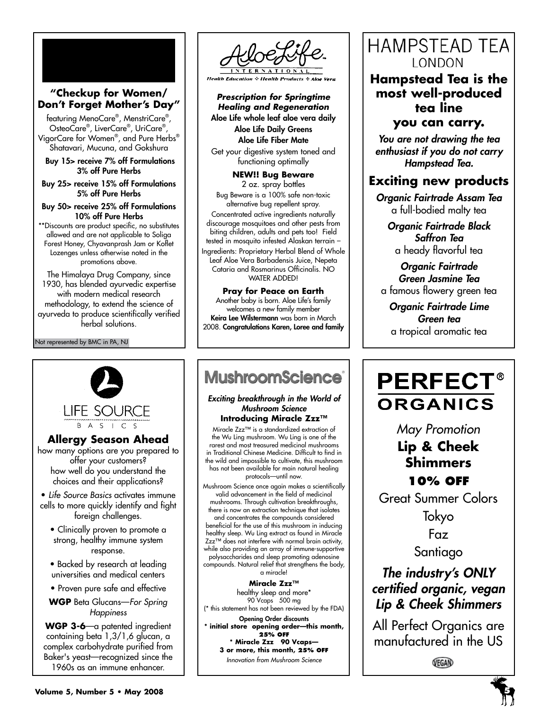### **"Checkup for Women/ Don't Forget Mother's Day"**

featuring MenoCare® , MenstriCare® , OsteoCare® , LiverCare® , UriCare® , VigorCare for Women® , and Pure Herbs® Shatavari, Mucuna, and Gokshura

Buy 15> receive 7% off Formulations 3% off Pure Herbs

Buy 25> receive 15% off Formulations 5% off Pure Herbs

Buy 50> receive 25% off Formulations 10% off Pure Herbs

\*\*Discounts are product specific, no substitutes allowed and are not applicable to Soliga Forest Honey, Chyavanprash Jam or Koflet Lozenges unless otherwise noted in the promotions above.

The Himalaya Drug Company, since 1930, has blended ayurvedic expertise with modern medical research methodology, to extend the science of ayurveda to produce scientifically verified herbal solutions.

Not represented by BMC in PA, NJ



**Health Education & Health Products** 

*Prescription for Springtime Healing and Regeneration* Aloe Life whole leaf aloe vera daily Aloe Life Daily Greens Aloe Life Fiber Mate

Get your digestive system toned and functioning optimally

**NEW!! Bug Beware**  2 oz. spray bottles Bug Beware is a 100% safe non-toxic alternative bug repellent spray. Concentrated active ingredients naturally discourage mosquitoes and other pests from biting children, adults and pets too! Field tested in mosquito infested Alaskan terrain – Ingredients: Proprietary Herbal Blend of Whole Leaf Aloe Vera Barbadensis Juice, Nepeta Cataria and Rosmarinus Officinalis. NO WATER ADDED!

**Pray for Peace on Earth** Another baby is born. Aloe Life's family welcomes a new family member Keira Lee Wilstermann was born in March 2008. Congratulations Karen, Loree and family

# **MushroomScience**®

*Exciting breakthrough in the World of Mushroom Science* **Introducing Miracle Zzz™**

Miracle Zzz™ is a standardized extraction of the Wu Ling mushroom. Wu Ling is one of the rarest and most treasured medicinal mushrooms in Traditional Chinese Medicine. Difficult to find in the wild and impossible to cultivate, this mushroom has not been available for main natural healing protocols—until now.

Mushroom Science once again makes a scientifically valid advancement in the field of medicinal mushrooms. Through cultivation breakthroughs, there is now an extraction technique that isolates and concentrates the compounds considered beneficial for the use of this mushroom in inducing healthy sleep. Wu Ling extract as found in Miracle Zzz<sup>™</sup> does not interfere with normal brain activity, while also providing an array of immune-supportive polysaccharides and sleep promoting adenosine compounds. Natural relief that strengthens the body, a miracle!

**Miracle Zzz™** healthy sleep and more\* 90 Vcaps 500 mg (\* this statement has not been reviewed by the FDA)

Opening Order discounts **\* initial store opening order—this month, 25% off \* Miracle Zzz 90 Vcaps— 3 or more, this month, 25% off** *Innovation from Mushroom Science*

### **HAMPSTEAD TEA** LONDON

**Hampstead Tea is the most well-produced tea line you can carry.**

*You are not drawing the tea enthusiast if you do not carry Hampstead Tea.*

### **Exciting new products**

*Organic Fairtrade Assam Tea* a full-bodied malty tea

*Organic Fairtrade Black Saffron Tea* a heady flavorful tea

*Organic Fairtrade Green Jasmine Tea* a famous flowery green tea

*Organic Fairtrade Lime Green tea* a tropical aromatic tea

# **PERFECT® ORGANICS**

*May Promotion*

**Lip & Cheek Shimmers**

### **10% off**

Great Summer Colors

Tokyo

Faz

Santiago

### *The industry's ONLY certified organic, vegan Lip & Cheek Shimmers*

All Perfect Organics are manufactured in the US

VEGAN



**Allergy Season Ahead** how many options are you prepared to

**LIFE SOURCE** B A S I C S

- Clinically proven to promote a strong, healthy immune system response.
- Backed by research at leading universities and medical centers
- Proven pure safe and effective
- **WGP** Beta Glucans—*For Spring Happiness*

**WGP 3-6**—a patented ingredient containing beta 1,3/1,6 glucan, a complex carbohydrate purified from Baker's yeast—recognized since the 1960s as an immune enhancer.

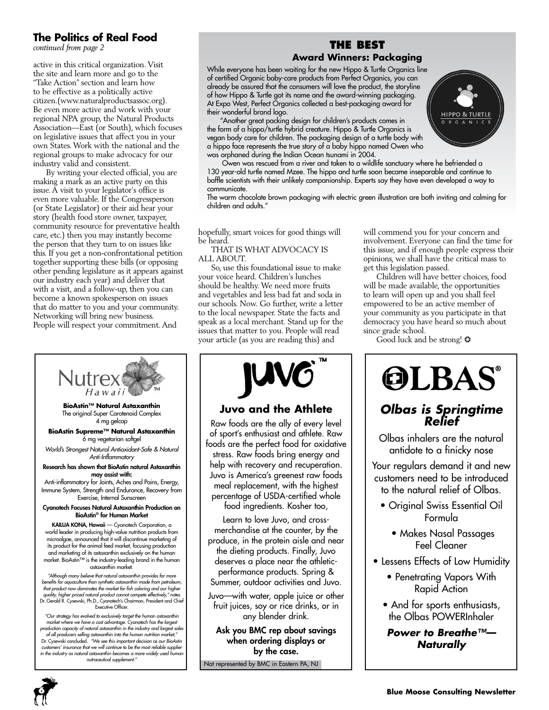### **The Politics of Real Food**

*continued from page 2*

active in this critical organization. Visit the site and learn more and go to the "Take Action" section and learn how to be effective as a politically active citizen.(www.naturalproductsassoc.org). Be even more active and work with your regional NPA group, the Natural Products Association—East (or South), which focuses on legislative issues that affect you in your own States. Work with the national and the regional groups to make advocacy for our industry valid and consistent.

By writing your elected official, you are making a mark as an active party on this issue. A visit to your legislator's office is even more valuable. If the Congressperson (or State Legislator) or their aid hear your story (health food store owner, taxpayer, community resource for preventative health care, etc.) then you may instantly become the person that they turn to on issues like this. If you get a non-confrontational petition together supporting these bills (or opposing other pending legislature as it appears against our industry each year) and deliver that with a visit, and a follow-up, then you can become a known spokesperson on issues that do matter to you and your community. Networking will bring new business. People will respect your commitment. And



*"Our strategy has evolved to exclusively target the human astaxanthin market where we have a cost advantage. Cyanotech has the largest production capacity of natural astaxanthin in the industry and largest sales of all producers selling astaxanthin into the human nutrition market,"*  Dr. Cysewski concluded. *"We see this important decision as our BioAstin customers' insurance that we will continue to be the most reliable supplier in the industry as natural astaxanthin becomes a more widely used human* 

**6**

### **The Best Award Winners: Packaging**

While everyone has been waiting for the new Hippo & Turtle Organics line of certified Organic baby-care products from Perfect Organics, you can already be assured that the consumers will love the product, the storyline of how Hippo & Turtle got its name and the award-winning packaging. At Expo West, Perfect Organics collected a best-packaging award for their wonderful brand logo.



"Another great packing design for children's products comes in the form of a hippo/turtle hybrid creature. Hippo & Turtle Organics is vegan body care for children. The packaging design of a turtle body with a hippo face represents the true story of a baby hippo named Owen who was orphaned during the Indian Ocean tsunami in 2004.

 Owen was rescued from a river and taken to a wildlife sanctuary where he befriended a 130 year-old turtle named Mzee. The hippo and turtle soon became inseparable and continue to baffle scientists with their unlikely companionship. Experts say they have even developed a way to communicate.

The warm chocolate brown packaging with electric green illustration are both inviting and calming for children and adults."

hopefully, smart voices for good things will be heard.

THAT IS WHAT ADVOCACY IS ALL ABOUT.

So, use this foundational issue to make your voice heard. Children's lunches should be healthy. We need more fruits and vegetables and less bad fat and soda in our schools. Now. Go further, write a letter to the local newspaper. State the facts and speak as a local merchant. Stand up for the issues that matter to you. People will read your article (as you are reading this) and



### **Juvo and the Athlete**

Raw foods are the ally of every level of sport's enthusiast and athlete. Raw foods are the perfect food for oxidative stress. Raw foods bring energy and help with recovery and recuperation. Juvo is America's greenest raw foods meal replacement, with the highest percentage of USDA-certified whole food ingredients. Kosher too,

Learn to love Juvo, and crossmerchandise at the counter, by the produce, in the protein aisle and near the dieting products. Finally, Juvo deserves a place near the athleticperformance products. Spring & Summer, outdoor activities and Juvo.

Juvo—with water, apple juice or other fruit juices, soy or rice drinks, or in any blender drink.

Ask you BMC rep about savings when ordering displays or by the case.

Not represented by BMC in Eastern PA, NJ

will commend you for your concern and involvement. Everyone can find the time for this issue, and if enough people express their opinions, we shall have the critical mass to get this legislation passed.

Children will have better choices, food will be made available, the opportunities to learn will open up and you shall feel empowered to be an active member of your community as you participate in that democracy you have heard so much about since grade school.

Good luck and be strong!  $\odot$ 



### *Olbas is Springtime Relief*

Olbas inhalers are the natural antidote to a finicky nose

Your regulars demand it and new customers need to be introduced to the natural relief of Olbas.

- Original Swiss Essential Oil Formula
	- Makes Nasal Passages Feel Cleaner
- Lessens Effects of Low Humidity
	- Penetrating Vapors With Rapid Action
	- And for sports enthusiasts, the Olbas POWERInhaler

*Power to Breathe™— Naturally*

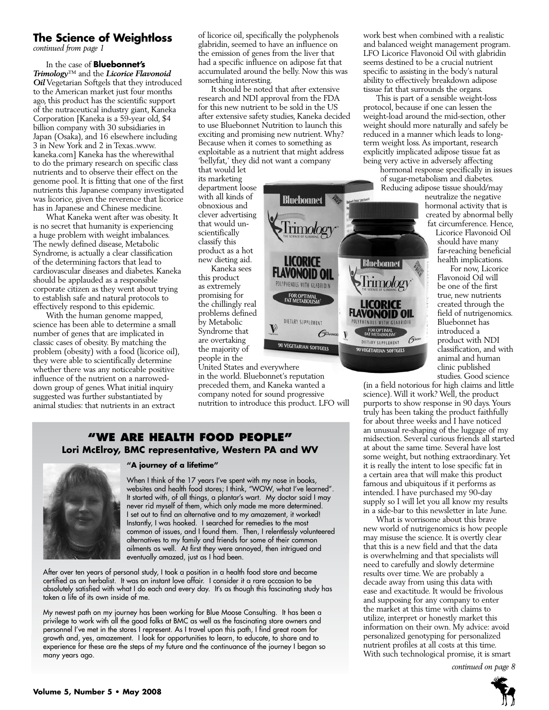### **The Science of Weightloss**

*continued from page 1*

In the case of **Bluebonnet's**  *Trimology*™ and the *Licorice Flavonoid Oil* Vegetarian Softgels that they introduced to the American market just four months ago, this product has the scientific support of the nutraceutical industry giant, Kaneka Corporation [Kaneka is a 59-year old, \$4 billion company with 30 subsidiaries in Japan (Osaka), and 16 elsewhere including 3 in New York and 2 in Texas..www. kaneka.com] Kaneka has the wherewithal to do the primary research on specific class nutrients and to observe their effect on the genome pool. It is fitting that one of the first nutrients this Japanese company investigated was licorice, given the reverence that licorice has in Japanese and Chinese medicine.

What Kaneka went after was obesity. It is no secret that humanity is experiencing a huge problem with weight imbalances. The newly defined disease, Metabolic Syndrome, is actually a clear classification of the determining factors that lead to cardiovascular diseases and diabetes. Kaneka should be applauded as a responsible corporate citizen as they went about trying to establish safe and natural protocols to effectively respond to this epidemic.

With the human genome mapped, science has been able to determine a small number of genes that are implicated in classic cases of obesity. By matching the problem (obesity) with a food (licorice oil), they were able to scientifically determine whether there was any noticeable positive influence of the nutrient on a narroweddown group of genes. What initial inquiry suggested was further substantiated by animal studies: that nutrients in an extract

of licorice oil, specifically the polyphenols glabridin, seemed to have an influence on the emission of genes from the liver that had a specific influence on adipose fat that accumulated around the belly. Now this was something interesting.

It should be noted that after extensive research and NDI approval from the FDA for this new nutrient to be sold in the US after extensive safety studies, Kaneka decided to use Bluebonnet Nutrition to launch this exciting and promising new nutrient. Why? Because when it comes to something as exploitable as a nutrient that might address 'bellyfat,' they did not want a company

**Bluebonnet** 

LICORICE

Flavonoid oi POLYPHENOLS WITH GLABRIDIN

FOR OPTIMAL<br>FAT METABOLISM

DIETARY SUPPLEMENT

90 VEGETARIAN SOFTGELS

**GUNONON** V

rimology

**Bluebonnet** 

ICORICE FLAVONOID OIL

POLYPHENOLS WITH GLABRID

FOR OPTIMAL<br>FAT METABOLISM

DIETARY SUPPLEMENT

90 VEGETARIAN SOFTGELS

 $6<sup>o</sup>$ 

'IMOlO2'

that would let its marketing department loose with all kinds of obnoxious and clever advertising that would unscientifically classify this product as a hot new dieting aid. Kaneka sees

this product as extremely promising for the chillingly real problems defined by Metabolic Syndrome that are overtaking the majority of people in the

United States and everywhere in the world. Bluebonnet's reputation preceded them, and Kaneka wanted a company noted for sound progressive nutrition to introduce this product. LFO will

V

### **"We Are health food people" Lori McElroy, BMC representative, Western PA and WV**



#### **"A journey of a lifetime"**

When I think of the 17 years I've spent with my nose in books, websites and health food stores; I think, "WOW, what I've learned". It started with, of all things, a plantar's wart. My doctor said I may never rid myself of them, which only made me more determined. I set out to find an alternative and to my amazement, it worked! Instantly, I was hooked. I searched for remedies to the most common of issues, and I found them. Then, I relentlessly volunteered alternatives to my family and friends for some of their common ailments as well. At first they were annoyed, then intrigued and eventually amazed, just as I had been.

After over ten years of personal study, I took a position in a health food store and became certified as an herbalist. It was an instant love affair. I consider it a rare occasion to be absolutely satisfied with what I do each and every day. It's as though this fascinating study has taken a life of its own inside of me.

My newest path on my journey has been working for Blue Moose Consulting. It has been a privilege to work with all the good folks at BMC as well as the fascinating store owners and personnel I've met in the stores I represent. As I travel upon this path, I find great room for growth and, yes, amazement. I look for opportunities to learn, to educate, to share and to experience for these are the steps of my future and the continuance of the journey I began so many years ago.

work best when combined with a realistic and balanced weight management program. LFO Licorice Flavonoid Oil with glabridin seems destined to be a crucial nutrient specific to assisting in the body's natural ability to effectively breakdown adipose tissue fat that surrounds the organs.

This is part of a sensible weight-loss protocol, because if one can lessen the weight-load around the mid-section, other weight should more naturally and safely be reduced in a manner which leads to longterm weight loss. As important, research explicitly implicated adipose tissue fat as being very active in adversely affecting

hormonal response specifically in issues of sugar-metabolism and diabetes. Reducing adipose tissue should/may

neutralize the negative hormonal activity that is created by abnormal belly fat circumference. Hence,

Licorice Flavonoid Oil should have many far-reaching beneficial health implications.

For now, Licorice Flavonoid Oil will be one of the first true, new nutrients created through the field of nutrigenomics. Bluebonnet has introduced a product with NDI classification, and with animal and human clinic published studies. Good science

(in a field notorious for high claims and little science). Will it work? Well, the product purports to show response in 90 days. Yours truly has been taking the product faithfully for about three weeks and I have noticed an unusual re-shaping of the luggage of my midsection. Several curious friends all started at about the same time. Several have lost some weight, but nothing extraordinary. Yet it is really the intent to lose specific fat in a certain area that will make this product famous and ubiquitous if it performs as intended. I have purchased my 90-day supply so I will let you all know my results in a side-bar to this newsletter in late June.

What is worrisome about this brave new world of nutrigenomics is how people may misuse the science. It is overtly clear that this is a new field and that the data is overwhelming and that specialists will need to carefully and slowly determine results over time. We are probably a decade away from using this data with ease and exactitude. It would be frivolous and supposing for any company to enter the market at this time with claims to utilize, interpret or honestly market this information on their own. My advice: avoid personalized genotyping for personalized nutrient profiles at all costs at this time. With such technological promise, it is smart

*continued on page 8*